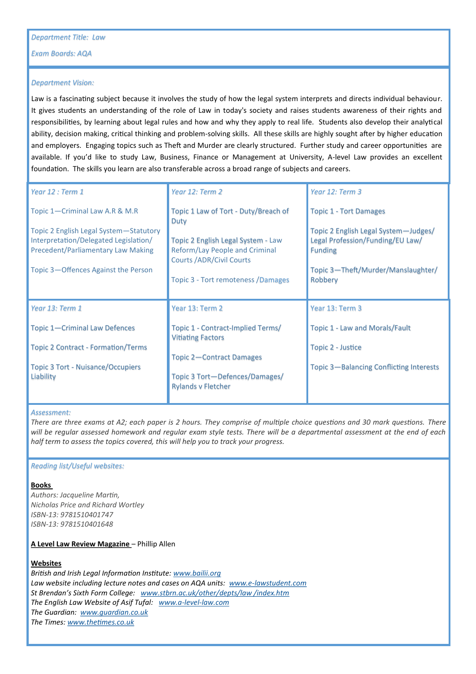*Exam Boards: AQA*

# *Department Vision:*

Law is a fascinating subject because it involves the study of how the legal system interprets and directs individual behaviour. It gives students an understanding of the role of Law in today's society and raises students awareness of their rights and responsibilities, by learning about legal rules and how and why they apply to real life. Students also develop their analytical ability, decision making, critical thinking and problem-solving skills. All these skills are highly sought after by higher education and employers. Engaging topics such as Theft and Murder are clearly structured. Further study and career opportunities are available. If you'd like to study Law, Business, Finance or Management at University, A-level Law provides an excellent foundation. The skills you learn are also transferable across a broad range of subjects and careers.

| Year 12 : Term 1                                                            | Year 12: Term 2                                                      | Year 12: Term 3                                    |
|-----------------------------------------------------------------------------|----------------------------------------------------------------------|----------------------------------------------------|
| Topic 1-Criminal Law A.R & M.R                                              | Topic 1 Law of Tort - Duty/Breach of<br><b>Duty</b>                  | <b>Topic 1 - Tort Damages</b>                      |
| Topic 2 English Legal System-Statutory                                      |                                                                      | Topic 2 English Legal System-Judges/               |
| Interpretation/Delegated Legislation/<br>Precedent/Parliamentary Law Making | Topic 2 English Legal System - Law<br>Reform/Lay People and Criminal | Legal Profession/Funding/EU Law/<br><b>Funding</b> |
|                                                                             | Courts / ADR/Civil Courts                                            |                                                    |
| Topic 3-Offences Against the Person                                         |                                                                      | Topic 3—Theft/Murder/Manslaughter/                 |
|                                                                             | Topic 3 - Tort remoteness / Damages                                  | Robbery                                            |
|                                                                             |                                                                      |                                                    |
|                                                                             |                                                                      |                                                    |
| Year 13: Term 1                                                             | Year 13: Term 2                                                      | Year 13: Term 3                                    |
| Topic 1-Criminal Law Defences                                               | Topic 1 - Contract-Implied Terms/                                    | Topic 1 - Law and Morals/Fault                     |
| <b>Topic 2 Contract - Formation/Terms</b>                                   | <b>Vitiating Factors</b>                                             | Topic 2 - Justice                                  |
|                                                                             | Topic 2-Contract Damages                                             |                                                    |
| <b>Topic 3 Tort - Nuisance/Occupiers</b>                                    |                                                                      | Topic 3-Balancing Conflicting Interests            |
| Liability                                                                   | Topic 3 Tort-Defences/Damages/                                       |                                                    |
|                                                                             | <b>Rylands v Fletcher</b>                                            |                                                    |

#### *Assessment:*

*There are three exams at A2; each paper is 2 hours. They comprise of multiple choice questions and 30 mark questions. There will be regular assessed homework and regular exam style tests. There will be a departmental assessment at the end of each half term to assess the topics covered, this will help you to track your progress.*

#### *Reading list/Useful websites:*

#### **Books**

*Authors: Jacqueline Martin, Nicholas Price and Richard Wortley ISBN-13: 9781510401747 ISBN-13: 9781510401648* 

## **A Level Law Review Magazine** – Phillip Allen

# **Websites**

*British and Irish Legal Information Institute: [www.bailii.org](http://www.bailii.org) Law website including lecture notes and cases on AQA units: www.e-[lawstudent.com](http://www.e-lawstudent.com)  St Brendan's Sixth Form College: [www.stbrn.ac.uk/other/depts/law /index.htm](http://www.stbrn.ac.uk/other/depts/law%20/index.htm)  The English Law Website of Asif Tufal: www.a-level-[law.com](http://www.a-level-law.com) The Guardian: [www.guardian.co.uk](http://www.guardian.co.uk)  The Times: [www.thetimes.co.uk](http://www.thetimes.co.uk)*